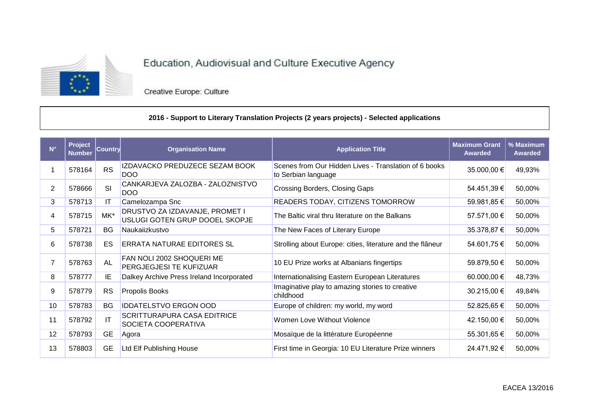

Creative Europe: Culture

#### **2016 - Support to Literary Translation Projects (2 years projects) - Selected applications**

| $N^{\circ}$ | Project<br><b>Number</b> | <b>Country</b> | <b>Organisation Name</b>                                         | <b>Application Title</b>                                                     | <b>Maximum Grant</b><br><b>Awarded</b> | % Maximum<br>Awarded |
|-------------|--------------------------|----------------|------------------------------------------------------------------|------------------------------------------------------------------------------|----------------------------------------|----------------------|
|             | 578164                   | <b>RS</b>      | IZDAVACKO PREDUZECE SEZAM BOOK<br><b>DOO</b>                     | Scenes from Our Hidden Lives - Translation of 6 books<br>to Serbian language | 35.000,00 €                            | 49,93%               |
| 2           | 578666                   | SI             | CANKARJEVA ZALOZBA - ZALOZNISTVO<br><b>DOO</b>                   | Crossing Borders, Closing Gaps                                               | 54.451,39 €                            | 50,00%               |
| 3           | 578713                   | IT             | Camelozampa Snc                                                  | READERS TODAY, CITIZENS TOMORROW                                             | 59.981,85 €                            | 50,00%               |
| 4           | 578715                   | MK*            | DRUSTVO ZA IZDAVANJE, PROMET I<br>USLUGI GOTEN GRUP DOOEL SKOPJE | The Baltic viral thru literature on the Balkans                              | 57.571,00 €                            | 50,00%               |
| 5           | 578721                   | BG             | Naukaiizkustvo                                                   | The New Faces of Literary Europe                                             | 35.378,87 €                            | 50,00%               |
| 6           | 578738                   | ES             | <b>ERRATA NATURAE EDITORES SL</b>                                | Strolling about Europe: cities, literature and the flâneur                   | 54.601,75 €                            | 50,00%               |
|             | 578763                   | AL             | FAN NOLI 2002 SHOQUERI ME<br>PERGJEGJESI TE KUFIZUAR             | 10 EU Prize works at Albanians fingertips                                    | 59.879,50 €                            | 50,00%               |
| 8           | 578777                   | ΙE             | Dalkey Archive Press Ireland Incorporated                        | Internationalising Eastern European Literatures                              | 60.000,00 €                            | 48,73%               |
| 9           | 578779                   | <b>RS</b>      | Propolis Books                                                   | Imaginative play to amazing stories to creative<br>childhood                 | 30.215,00 €                            | 49,84%               |
| 10          | 578783                   | BG             | <b>IDDATELSTVO ERGON OOD</b>                                     | Europe of children: my world, my word                                        | 52.825,65 €                            | 50,00%               |
| 11          | 578792                   | IT             | SCRITTURAPURA CASA EDITRICE<br>SOCIETA COOPERATIVA               | Women Love Without Violence                                                  | 42.150,00 €                            | 50,00%               |
| 12          | 578793                   | <b>GE</b>      | Agora                                                            | Mosaïque de la littérature Européenne                                        | 55.301,65 €                            | 50,00%               |
| 13          | 578803                   | <b>GE</b>      | Ltd Elf Publishing House                                         | First time in Georgia: 10 EU Literature Prize winners                        | 24.471,92 €                            | 50,00%               |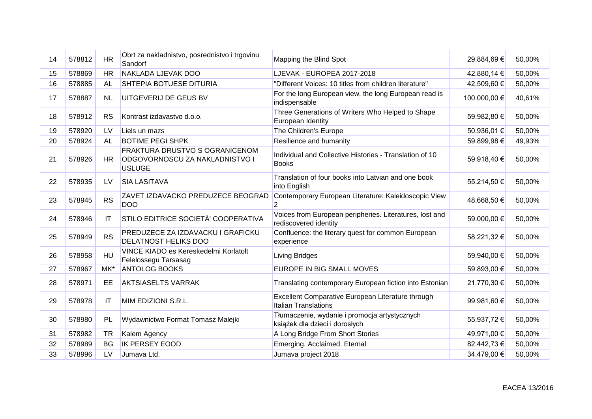| 14 | 578812 | <b>HR</b>              | Obrt za nakladnistvo, posrednistvo i trgovinu<br>Sandorf                          | Mapping the Blind Spot                                                           | 29.884,69 €  | 50,00% |
|----|--------|------------------------|-----------------------------------------------------------------------------------|----------------------------------------------------------------------------------|--------------|--------|
| 15 | 578869 | <b>HR</b>              | NAKLADA LJEVAK DOO                                                                | LJEVAK - EUROPEA 2017-2018                                                       | 42.880,14 €  | 50,00% |
| 16 | 578885 | AL                     | SHTEPIA BOTUESE DITURIA                                                           | "Different Voices: 10 titles from children literature"                           | 42.509,60 €  | 50,00% |
| 17 | 578887 | <b>NL</b>              | UITGEVERIJ DE GEUS BV                                                             | For the long European view, the long European read is<br>indispensable           | 100.000,00 € | 40,61% |
| 18 | 578912 | <b>RS</b>              | Kontrast izdavastvo d.o.o.                                                        | Three Generations of Writers Who Helped to Shape<br>European Identity            | 59.982,80 €  | 50,00% |
| 19 | 578920 | LV                     | Liels un mazs                                                                     | The Children's Europe                                                            | 50.936,01 €  | 50,00% |
| 20 | 578924 | <b>AL</b>              | <b>BOTIME PEGI SHPK</b>                                                           | Resilience and humanity                                                          | 59.899,98 €  | 49,93% |
| 21 | 578926 | <b>HR</b>              | FRAKTURA DRUSTVO S OGRANICENOM<br>ODGOVORNOSCU ZA NAKLADNISTVO I<br><b>USLUGE</b> | Individual and Collective Histories - Translation of 10<br><b>Books</b>          | 59.918,40 €  | 50,00% |
| 22 | 578935 | <b>LV</b>              | <b>SIA LASITAVA</b>                                                               | Translation of four books into Latvian and one book<br>into English              | 55.214,50 €  | 50,00% |
| 23 | 578945 | <b>RS</b>              | ZAVET IZDAVACKO PREDUZECE BEOGRAD<br><b>DOO</b>                                   | Contemporary European Literature: Kaleidoscopic View                             | 48.668,50 €  | 50,00% |
| 24 | 578946 | $\mathsf{I}\mathsf{T}$ | STILO EDITRICE SOCIETÀ' COOPERATIVA                                               | Voices from European peripheries. Literatures, lost and<br>rediscovered identity | 59.000,00 €  | 50,00% |
| 25 | 578949 | <b>RS</b>              | PREDUZECE ZA IZDAVACKU I GRAFICKU<br><b>DELATNOST HELIKS DOO</b>                  | Confluence: the literary quest for common European<br>experience                 | 58.221,32 €  | 50,00% |
| 26 | 578958 | HU                     | VINCE KIADO es Kereskedelmi Korlatolt<br>Felelossegu Tarsasag                     | Living Bridges                                                                   | 59.940,00 €  | 50,00% |
| 27 | 578967 | MK*                    | <b>ANTOLOG BOOKS</b>                                                              | EUROPE IN BIG SMALL MOVES                                                        | 59.893,00 €  | 50,00% |
| 28 | 578971 | EE                     | <b>AKTSIASELTS VARRAK</b>                                                         | Translating contemporary European fiction into Estonian                          | 21.770,30 €  | 50,00% |
| 29 | 578978 | $\mathsf{I}\mathsf{T}$ | MIM EDIZIONI S.R.L.                                                               | Excellent Comparative European Literature through<br><b>Italian Translations</b> | 99.981,60 €  | 50,00% |
| 30 | 578980 | <b>PL</b>              | Wydawnictwo Format Tomasz Malejki                                                 | Tłumaczenie, wydanie i promocja artystycznych<br>książek dla dzieci i dorosłych  | 55.937,72 €  | 50,00% |
| 31 | 578982 | <b>TR</b>              | Kalem Agency                                                                      | A Long Bridge From Short Stories                                                 | 49.971,00 €  | 50,00% |
| 32 | 578989 | <b>BG</b>              | <b>IK PERSEY EOOD</b>                                                             | Emerging. Acclaimed. Eternal                                                     | 82.442,73 €  | 50,00% |
| 33 | 578996 | LV                     | Jumava Ltd.                                                                       | Jumava project 2018                                                              | 34.479,00 €  | 50,00% |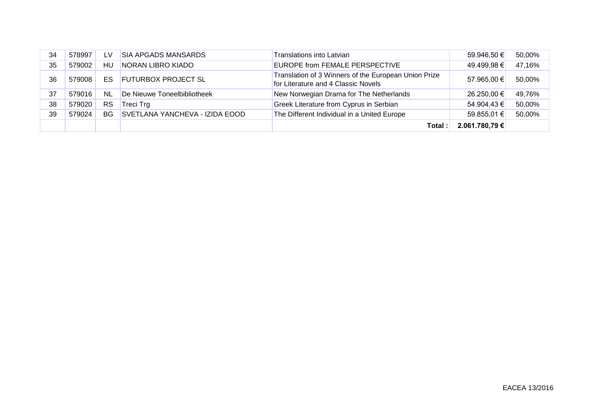| 34 | 578997 | LV.       | <b>SIA APGADS MANSARDS</b>     | Translations into Latvian                                                                   | 59.946,50 €    | 50,00% |
|----|--------|-----------|--------------------------------|---------------------------------------------------------------------------------------------|----------------|--------|
| 35 | 579002 | HU        | NORAN LIBRO KIADO              | EUROPE from FEMALE PERSPECTIVE                                                              | 49.499,98 €    | 47,16% |
| 36 | 579008 | ES.       | <b>FUTURBOX PROJECT SL</b>     | Translation of 3 Winners of the European Union Prize<br>for Literature and 4 Classic Novels | 57.965,00 €    | 50,00% |
| 37 | 579016 | <b>NL</b> | De Nieuwe Toneelbibliotheek    | New Norwegian Drama for The Netherlands                                                     | 26.250,00 €    | 49,76% |
| 38 | 579020 | <b>RS</b> | <b>Treci Trg</b>               | Greek Literature from Cyprus in Serbian                                                     | 54.904,43 €    | 50,00% |
| 39 | 579024 | BG.       | SVETLANA YANCHEVA - IZIDA EOOD | The Different Individual in a United Europe                                                 | 59.855,01 €    | 50,00% |
|    |        |           |                                | Total:                                                                                      | 2.061.780,79 € |        |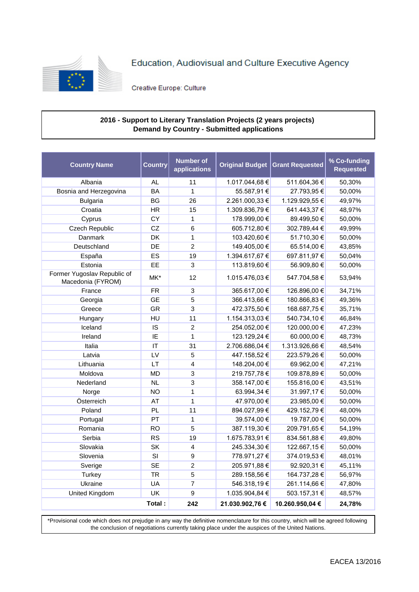

Creative Europe: Culture

### **2016 - Support to Literary Translation Projects (2 years projects) Demand by Country - Submitted applications**

| <b>Country Name</b>                              | <b>Country</b> | <b>Number of</b><br>applications | <b>Original Budget</b> | <b>Grant Requested</b> | % Co-funding<br><b>Requested</b> |
|--------------------------------------------------|----------------|----------------------------------|------------------------|------------------------|----------------------------------|
| Albania                                          | <b>AL</b>      | 11                               | 1.017.044,68 €         | 511.604,36 €           | 50,30%                           |
| Bosnia and Herzegovina                           | <b>BA</b>      | $\mathbf{1}$                     | 55.587,91 €            | 27.793,95 €            | 50,00%                           |
| <b>Bulgaria</b>                                  | <b>BG</b>      | 26                               | 2.261.000,33 €         | 1.129.929,55 €         | 49,97%                           |
| Croatia                                          | <b>HR</b>      | 15                               | 1.309.836,79€          | 641.443,37 €           | 48,97%                           |
| Cyprus                                           | CY             | $\mathbf{1}$                     | 178.999,00 €           | 89.499,50 €            | 50,00%                           |
| Czech Republic                                   | CZ             | 6                                | 605.712,80 €           | 302.789,44 €           | 49,99%                           |
| Danmark                                          | DK             | 1                                | 103.420,60 €           | 51.710,30 €            | 50,00%                           |
| Deutschland                                      | DE             | $\overline{c}$                   | 149.405,00 €           | 65.514,00 €            | 43,85%                           |
| España                                           | ES             | 19                               | 1.394.617,67 €         | 697.811,97€            | 50,04%                           |
| Estonia                                          | EE             | 3                                | 113.819,60 €           | 56.909,80 €            | 50,00%                           |
| Former Yugoslav Republic of<br>Macedonia (FYROM) | MK*            | 12                               | 1.015.476,03 €         | 547.704,58€            | 53,94%                           |
| France                                           | <b>FR</b>      | 3                                | 365.617,00 €           | 126.896,00 €           | 34,71%                           |
| Georgia                                          | <b>GE</b>      | 5                                | 366.413,66 €           | 180.866,83 €           | 49,36%                           |
| Greece                                           | GR             | 3                                | 472.375,50 €           | 168.687,75€            | 35,71%                           |
| Hungary                                          | <b>HU</b>      | 11                               | 1.154.313,03 €         | 540.734,10 €           | 46,84%                           |
| Iceland                                          | IS             | $\overline{2}$                   | 254.052,00 €           | 120.000,00 €           | 47,23%                           |
| Ireland                                          | IE             | $\mathbf{1}$                     | 123.129,24 €           | 60.000,00 €            | 48,73%                           |
| Italia                                           | IT             | 31                               | 2.706.686,04 €         | 1.313.926,66 €         | 48,54%                           |
| Latvia                                           | LV             | 5                                | 447.158,52€            | 223.579,26€            | 50,00%                           |
| Lithuania                                        | LT             | $\overline{4}$                   | 148.204,00 €           | 69.962,00 €            | 47,21%                           |
| Moldova                                          | <b>MD</b>      | 3                                | 219.757,78€            | 109.878,89€            | 50,00%                           |
| Nederland                                        | <b>NL</b>      | 3                                | 358.147,00 €           | 155.816,00 €           | 43,51%                           |
| Norge                                            | <b>NO</b>      | $\mathbf{1}$                     | 63.994,34 €            | 31.997,17€             | 50,00%                           |
| Österreich                                       | AT             | 1                                | 47.970,00 €            | 23.985,00 €            | 50,00%                           |
| Poland                                           | PL             | 11                               | 894.027,99 €           | 429.152,79€            | 48,00%                           |
| Portugal                                         | PT             | $\mathbf{1}$                     | 39.574,00 €            | 19.787,00 €            | 50,00%                           |
| Romania                                          | <b>RO</b>      | 5                                | 387.119,30 €           | 209.791,65€            | 54,19%                           |
| Serbia                                           | <b>RS</b>      | 19                               | 1.675.783,91 €         | 834.561,88€            | 49,80%                           |
| Slovakia                                         | SK             | 4                                | 245.334,30 €           | 122.667,15€            | 50,00%                           |
| Slovenia                                         | SI             | 9                                | 778.971,27 €           | 374.019,53 €           | 48,01%                           |
| Sverige                                          | <b>SE</b>      | $\overline{2}$                   | 205.971,88 €           | 92.920,31 €            | 45,11%                           |
| Turkey                                           | <b>TR</b>      | 5                                | 289.158,56 €           | 164.737,28 €           | 56,97%                           |
| Ukraine                                          | <b>UA</b>      | $\overline{7}$                   | 546.318,19€            | 261.114,66 €           | 47,80%                           |
| United Kingdom                                   | UK             | 9                                | 1.035.904,84 €         | 503.157,31 €           | 48,57%                           |
|                                                  | Total:         | 242                              | 21.030.902,76 €        | 10.260.950,04 €        | 24,78%                           |

\*Provisional code which does not prejudge in any way the definitive nomenclature for this country, which will be agreed following the conclusion of negotiations currently taking place under the auspices of the United Nations.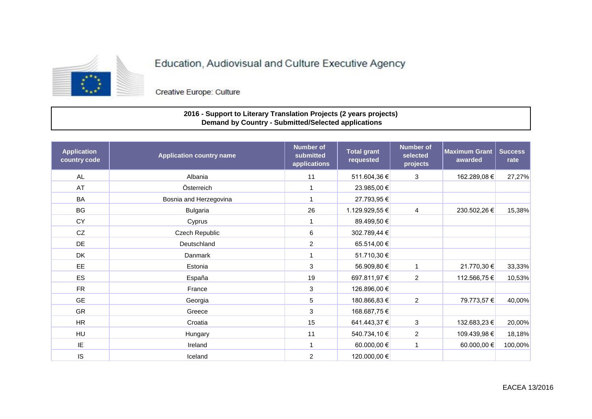

Creative Europe: Culture

### **2016 - Support to Literary Translation Projects (2 years projects) Demand by Country - Submitted/Selected applications**

| <b>Application</b><br>country code | <b>Application country name</b> | <b>Number of</b><br>submitted<br>applications | <b>Total grant</b><br>requested | <b>Number of</b><br>selected<br>projects | <b>Maximum Grant</b><br>awarded | <b>Success</b><br>rate |
|------------------------------------|---------------------------------|-----------------------------------------------|---------------------------------|------------------------------------------|---------------------------------|------------------------|
| AL                                 | Albania                         | 11                                            | 511.604,36 €                    | 3                                        | 162.289,08 €                    | 27,27%                 |
| AT                                 | Österreich                      | -1                                            | 23.985,00 €                     |                                          |                                 |                        |
| BA                                 | Bosnia and Herzegovina          |                                               | 27.793,95€                      |                                          |                                 |                        |
| BG                                 | <b>Bulgaria</b>                 | 26                                            | 1.129.929,55 €                  | 4                                        | 230.502,26 €                    | 15,38%                 |
| <b>CY</b>                          | Cyprus                          |                                               | 89.499,50 €                     |                                          |                                 |                        |
| CZ                                 | Czech Republic                  | 6                                             | 302.789,44 €                    |                                          |                                 |                        |
| DE                                 | Deutschland                     | $\overline{c}$                                | 65.514,00 €                     |                                          |                                 |                        |
| DK                                 | Danmark                         | $\overline{ }$                                | 51.710,30 €                     |                                          |                                 |                        |
| EE                                 | Estonia                         | $\sqrt{3}$                                    | 56.909,80 €                     | 1                                        | 21.770,30 €                     | 33,33%                 |
| ES                                 | España                          | 19                                            | 697.811,97 €                    | $\overline{2}$                           | 112.566,75 €                    | 10,53%                 |
| <b>FR</b>                          | France                          | $\sqrt{3}$                                    | 126.896,00 €                    |                                          |                                 |                        |
| <b>GE</b>                          | Georgia                         | $\mathbf 5$                                   | 180.866,83 €                    | $\overline{2}$                           | 79.773,57 €                     | 40,00%                 |
| <b>GR</b>                          | Greece                          | $\sqrt{3}$                                    | 168.687,75 €                    |                                          |                                 |                        |
| <b>HR</b>                          | Croatia                         | 15                                            | 641.443,37 €                    | 3                                        | 132.683,23 €                    | 20,00%                 |
| HU                                 | Hungary                         | 11                                            | 540.734,10 €                    | $\overline{2}$                           | 109.439,98 €                    | 18,18%                 |
| IE                                 | Ireland                         | $\overline{ }$                                | 60.000,00 €                     |                                          | 60.000,00 €                     | 100,00%                |
| IS                                 | Iceland                         | $\overline{c}$                                | 120.000,00 €                    |                                          |                                 |                        |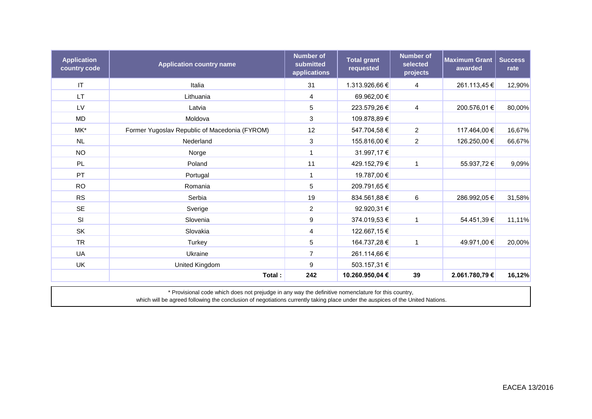| <b>Application</b><br>country code | <b>Application country name</b>               | <b>Number of</b><br>submitted<br>applications | <b>Total grant</b><br>requested | <b>Number of</b><br>selected<br>projects | <b>Maximum Grant</b><br>awarded | <b>Success</b><br>rate |
|------------------------------------|-----------------------------------------------|-----------------------------------------------|---------------------------------|------------------------------------------|---------------------------------|------------------------|
| $\ensuremath{\mathsf{IT}}\xspace$  | Italia                                        | 31                                            | 1.313.926,66 €                  | 4                                        | 261.113,45 €                    | 12,90%                 |
| <b>LT</b>                          | Lithuania                                     | 4                                             | 69.962,00 €                     |                                          |                                 |                        |
| LV                                 | Latvia                                        | 5                                             | 223.579,26 €                    | 4                                        | 200.576,01 €                    | 80,00%                 |
| <b>MD</b>                          | Moldova                                       | 3                                             | 109.878,89 €                    |                                          |                                 |                        |
| MK*                                | Former Yugoslav Republic of Macedonia (FYROM) | 12                                            | 547.704,58 €                    | $\overline{a}$                           | 117.464,00 €                    | 16,67%                 |
| <b>NL</b>                          | Nederland                                     | 3                                             | 155.816,00 €                    | $\overline{a}$                           | 126.250,00 €                    | 66,67%                 |
| <b>NO</b>                          | Norge                                         | 1                                             | 31.997,17€                      |                                          |                                 |                        |
| PL                                 | Poland                                        | 11                                            | 429.152,79 €                    | 1                                        | 55.937,72 €                     | 9,09%                  |
| PT                                 | Portugal                                      | 1                                             | 19.787,00 €                     |                                          |                                 |                        |
| <b>RO</b>                          | Romania                                       | 5                                             | 209.791,65€                     |                                          |                                 |                        |
| <b>RS</b>                          | Serbia                                        | 19                                            | 834.561,88 €                    | 6                                        | 286.992,05 €                    | 31,58%                 |
| <b>SE</b>                          | Sverige                                       | 2                                             | 92.920,31 €                     |                                          |                                 |                        |
| SI                                 | Slovenia                                      | $\boldsymbol{9}$                              | 374.019,53 €                    |                                          | 54.451,39 €                     | 11,11%                 |
| SK                                 | Slovakia                                      | 4                                             | 122.667,15 €                    |                                          |                                 |                        |
| <b>TR</b>                          | Turkey                                        | 5                                             | 164.737,28€                     | 1                                        | 49.971,00 €                     | 20,00%                 |
| UA                                 | Ukraine                                       | $\overline{7}$                                | 261.114,66 €                    |                                          |                                 |                        |
| UK                                 | United Kingdom                                | 9                                             | 503.157,31 €                    |                                          |                                 |                        |
|                                    | Total:                                        | 242                                           | 10.260.950,04 €                 | 39                                       | 2.061.780,79 €                  | 16,12%                 |

\* Provisional code which does not prejudge in any way the definitive nomenclature for this country,

which will be agreed following the conclusion of negotiations currently taking place under the auspices of the United Nations.